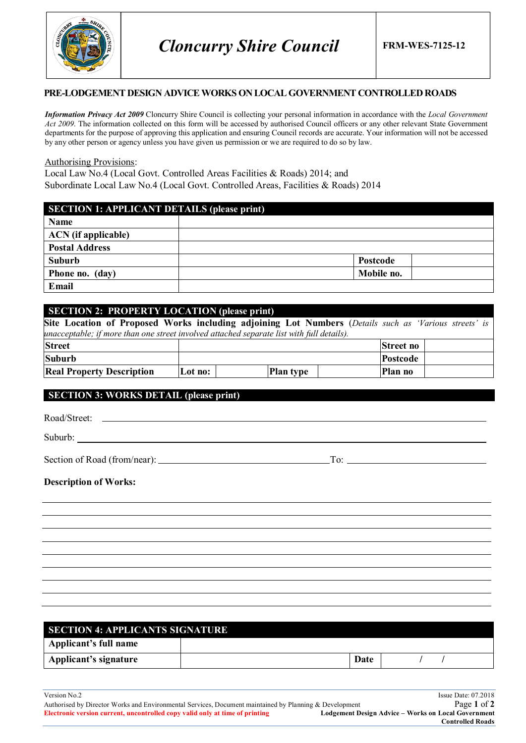

#### **PRE-LODGEMENT DESIGN ADVICEWORKS ON LOCAL GOVERNMENT CONTROLLED ROADS**

*Information Privacy Act 2009* Cloncurry Shire Council is collecting your personal information in accordance with the *Local Government Act 2009*. The information collected on this form will be accessed by authorised Council officers or any other relevant State Government departments for the purpose of approving this application and ensuring Council records are accurate. Your information will not be accessed by any other person or agency unless you have given us permission or we are required to do so by law.

#### Authorising Provisions:

Local Law No.4 (Local Govt. Controlled Areas Facilities & Roads) 2014; and Subordinate Local Law No.4 (Local Govt. Controlled Areas, Facilities & Roads) 2014

| <b>SECTION 1: APPLICANT DETAILS (please print)</b> |            |  |  |
|----------------------------------------------------|------------|--|--|
| Name                                               |            |  |  |
| <b>ACN</b> (if applicable)                         |            |  |  |
| <b>Postal Address</b>                              |            |  |  |
| Suburb                                             | Postcode   |  |  |
| Phone no. (day)                                    | Mobile no. |  |  |
| Email                                              |            |  |  |

### **SECTION 2: PROPERTY LOCATION (please print)**

| Site Location of Proposed Works including adjoining Lot Numbers (Details such as 'Various streets' is |         |                  |  |           |  |
|-------------------------------------------------------------------------------------------------------|---------|------------------|--|-----------|--|
| unacceptable; if more than one street involved attached separate list with full details).             |         |                  |  |           |  |
| <b>Street</b>                                                                                         |         |                  |  | Street no |  |
| <b>Suburb</b>                                                                                         |         |                  |  | Postcode  |  |
| <b>Real Property Description</b>                                                                      | Lot no: | <b>Plan type</b> |  | Plan no   |  |

## **SECTION 3: WORKS DETAIL (please print)**

| Suburb: <u>and the substantial control of</u> the substantial control of the substantial control of the substantial control of the substantial control of the substantial control of the substantial control of the substantial con |  |
|-------------------------------------------------------------------------------------------------------------------------------------------------------------------------------------------------------------------------------------|--|
|                                                                                                                                                                                                                                     |  |
| <b>Description of Works:</b>                                                                                                                                                                                                        |  |
|                                                                                                                                                                                                                                     |  |
|                                                                                                                                                                                                                                     |  |
|                                                                                                                                                                                                                                     |  |
|                                                                                                                                                                                                                                     |  |
|                                                                                                                                                                                                                                     |  |
|                                                                                                                                                                                                                                     |  |

| <b>SECTION 4: APPLICANTS SIGNATURE</b> |  |      |  |  |
|----------------------------------------|--|------|--|--|
| Applicant's full name                  |  |      |  |  |
| Applicant's signature                  |  | Date |  |  |

L